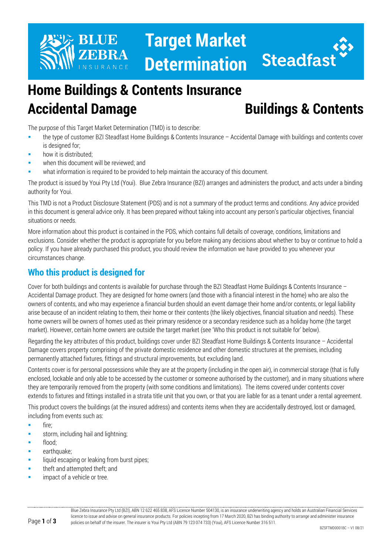

# **Target Market Determination**



## **Home Buildings & Contents Insurance Accidental Damage Buildings & Contents**

The purpose of this Target Market Determination (TMD) is to describe:

- the type of customer BZI Steadfast Home Buildings & Contents Insurance Accidental Damage with buildings and contents cover is designed for;
- how it is distributed;
- when this document will be reviewed; and
- what information is required to be provided to help maintain the accuracy of this document.

The product is issued by Youi Pty Ltd (Youi). Blue Zebra Insurance (BZI) arranges and administers the product, and acts under a binding authority for Youi.

This TMD is not a Product Disclosure Statement (PDS) and is not a summary of the product terms and conditions. Any advice provided in this document is general advice only. It has been prepared without taking into account any person's particular objectives, financial situations or needs.

More information about this product is contained in the PDS, which contains full details of coverage, conditions, limitations and exclusions. Consider whether the product is appropriate for you before making any decisions about whether to buy or continue to hold a policy. If you have already purchased this product, you should review the information we have provided to you whenever your circumstances change.

#### **Who this product is designed for**

Cover for both buildings and contents is available for purchase through the BZI Steadfast Home Buildings & Contents Insurance – Accidental Damage product. They are designed for home owners (and those with a financial interest in the home) who are also the owners of contents, and who may experience a financial burden should an event damage their home and/or contents, or legal liability arise because of an incident relating to them, their home or their contents (the likely objectives, financial situation and needs). These home owners will be owners of homes used as their primary residence or a secondary residence such as a holiday home (the target market). However, certain home owners are outside the target market (see 'Who this product is not suitable for' below).

Regarding the key attributes of this product, buildings cover under BZI Steadfast Home Buildings & Contents Insurance – Accidental Damage covers property comprising of the private domestic residence and other domestic structures at the premises, including permanently attached fixtures, fittings and structural improvements, but excluding land.

Contents cover is for personal possessions while they are at the property (including in the open air), in commercial storage (that is fully enclosed, lockable and only able to be accessed by the customer or someone authorised by the customer), and in many situations where they are temporarily removed from the property (with some conditions and limitations). The items covered under contents cover extends to fixtures and fittings installed in a strata title unit that you own, or that you are liable for as a tenant under a rental agreement.

This product covers the buildings (at the insured address) and contents items when they are accidentally destroyed, lost or damaged, including from events such as:

- $\blacksquare$  fire:
- storm, including hail and lightning;
- **flood**;
- earthquake;
- liquid escaping or leaking from burst pipes;
- theft and attempted theft; and
- impact of a vehicle or tree.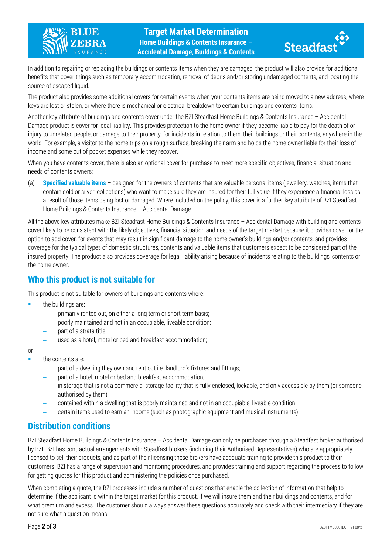



In addition to repairing or replacing the buildings or contents items when they are damaged, the product will also provide for additional benefits that cover things such as temporary accommodation, removal of debris and/or storing undamaged contents, and locating the source of escaped liquid.

The product also provides some additional covers for certain events when your contents items are being moved to a new address, where keys are lost or stolen, or where there is mechanical or electrical breakdown to certain buildings and contents items.

Another key attribute of buildings and contents cover under the BZI Steadfast Home Buildings & Contents Insurance – Accidental Damage product is cover for legal liability. This provides protection to the home owner if they become liable to pay for the death of or injury to unrelated people, or damage to their property, for incidents in relation to them, their buildings or their contents, anywhere in the world. For example, a visitor to the home trips on a rough surface, breaking their arm and holds the home owner liable for their loss of income and some out of pocket expenses while they recover.

When you have contents cover, there is also an optional cover for purchase to meet more specific objectives, financial situation and needs of contents owners:

(a) **Specified valuable items** – designed for the owners of contents that are valuable personal items (jewellery, watches, items that contain gold or silver, collections) who want to make sure they are insured for their full value if they experience a financial loss as a result of those items being lost or damaged. Where included on the policy, this cover is a further key attribute of BZI Steadfast Home Buildings & Contents Insurance – Accidental Damage.

All the above key attributes make BZI Steadfast Home Buildings & Contents Insurance – Accidental Damage with building and contents cover likely to be consistent with the likely objectives, financial situation and needs of the target market because it provides cover, or the option to add cover, for events that may result in significant damage to the home owner's buildings and/or contents, and provides coverage for the typical types of domestic structures, contents and valuable items that customers expect to be considered part of the insured property. The product also provides coverage for legal liability arising because of incidents relating to the buildings, contents or the home owner.

#### **Who this product is not suitable for**

This product is not suitable for owners of buildings and contents where:

- the buildings are:
	- primarily rented out, on either a long term or short term basis;
	- poorly maintained and not in an occupiable, liveable condition;
	- part of a strata title;
	- used as a hotel, motel or bed and breakfast accommodation;
- or
- the contents are:
	- part of a dwelling they own and rent out i.e. landlord's fixtures and fittings;
	- part of a hotel, motel or bed and breakfast accommodation;
	- in storage that is not a commercial storage facility that is fully enclosed, lockable, and only accessible by them (or someone authorised by them);
	- − contained within a dwelling that is poorly maintained and not in an occupiable, liveable condition;
	- − certain items used to earn an income (such as photographic equipment and musical instruments).

### **Distribution conditions**

BZI Steadfast Home Buildings & Contents Insurance – Accidental Damage can only be purchased through a Steadfast broker authorised by BZI. BZI has contractual arrangements with Steadfast brokers (including their Authorised Representatives) who are appropriately licensed to sell their products, and as part of their licensing these brokers have adequate training to provide this product to their customers. BZI has a range of supervision and monitoring procedures, and provides training and support regarding the process to follow for getting quotes for this product and administering the policies once purchased.

When completing a quote, the BZI processes include a number of questions that enable the collection of information that help to determine if the applicant is within the target market for this product, if we will insure them and their buildings and contents, and for what premium and excess. The customer should always answer these questions accurately and check with their intermediary if they are not sure what a question means.